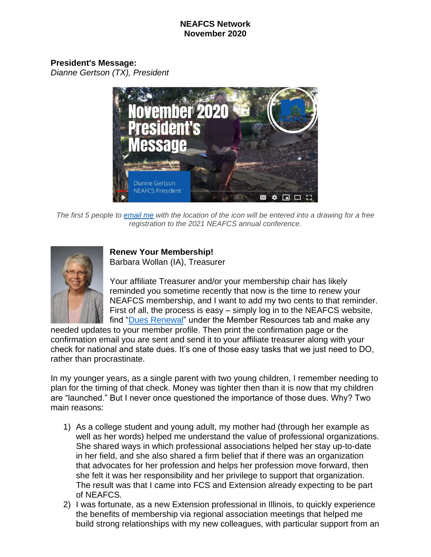#### **NEAFCS Network November 2020**

**President's Message:** *Dianne Gertson (TX), President*



The first 5 people to [email](mailto:dlgertson@ag.tamu.edu?subject=NEAFCS%20Newsletter%20Icon%20Contest%20November%202020) me with the location of the icon will be entered into a drawing for a free *registration to the 2021 NEAFCS annual conference.*



## **Renew Your Membership!**

Barbara Wollan (IA), Treasurer

Your affiliate Treasurer and/or your membership chair has likely reminded you sometime recently that now is the time to renew your NEAFCS membership, and I want to add my two cents to that reminder. First of all, the process is easy – simply log in to the NEAFCS website, find ["Dues Renewal"](https://neafcs.memberclicks.net/dues-renewal) under the Member Resources tab and make any

needed updates to your member profile. Then print the confirmation page or the confirmation email you are sent and send it to your affiliate treasurer along with your check for national and state dues. It's one of those easy tasks that we just need to DO, rather than procrastinate.

In my younger years, as a single parent with two young children, I remember needing to plan for the timing of that check. Money was tighter then than it is now that my children are "launched." But I never once questioned the importance of those dues. Why? Two main reasons:

- 1) As a college student and young adult, my mother had (through her example as well as her words) helped me understand the value of professional organizations. She shared ways in which professional associations helped her stay up-to-date in her field, and she also shared a firm belief that if there was an organization that advocates for her profession and helps her profession move forward, then she felt it was her responsibility and her privilege to support that organization. The result was that I came into FCS and Extension already expecting to be part of NEAFCS.
- 2) I was fortunate, as a new Extension professional in Illinois, to quickly experience the benefits of membership via regional association meetings that helped me build strong relationships with my new colleagues, with particular support from an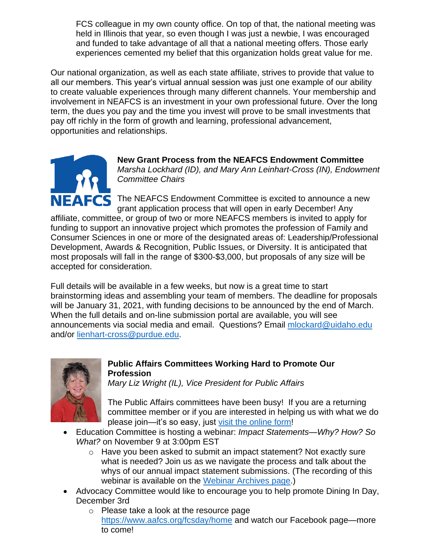FCS colleague in my own county office. On top of that, the national meeting was held in Illinois that year, so even though I was just a newbie, I was encouraged and funded to take advantage of all that a national meeting offers. Those early experiences cemented my belief that this organization holds great value for me.

Our national organization, as well as each state affiliate, strives to provide that value to all our members. This year's virtual annual session was just one example of our ability to create valuable experiences through many different channels. Your membership and involvement in NEAFCS is an investment in your own professional future. Over the long term, the dues you pay and the time you invest will prove to be small investments that pay off richly in the form of growth and learning, professional advancement, opportunities and relationships.



**New Grant Process from the NEAFCS Endowment Committee** *Marsha Lockhard (ID), and Mary Ann Leinhart-Cross (IN), Endowment Committee Chairs*

FCS The NEAFCS Endowment Committee is excited to announce a new grant application process that will open in early December! Any

affiliate, committee, or group of two or more NEAFCS members is invited to apply for funding to support an innovative project which promotes the profession of Family and Consumer Sciences in one or more of the designated areas of: Leadership/Professional Development, Awards & Recognition, Public Issues, or Diversity. It is anticipated that most proposals will fall in the range of \$300-\$3,000, but proposals of any size will be accepted for consideration.

Full details will be available in a few weeks, but now is a great time to start brainstorming ideas and assembling your team of members. The deadline for proposals will be January 31, 2021, with funding decisions to be announced by the end of March. When the full details and on-line submission portal are available, you will see announcements via social media and email. Questions? Email [mlockard@uidaho.edu](mailto:mlockard@uidaho.edu) and/or [lienhart-cross@purdue.edu.](mailto:lienhart-cross@purdue.edu)



# **Public Affairs Committees Working Hard to Promote Our Profession**

*Mary Liz Wright (IL), Vice President for Public Affairs*

The Public Affairs committees have been busy! If you are a returning committee member or if you are interested in helping us with what we do please join—it's so easy, just [visit the online form!](https://neafcs.memberclicks.net/index.php?option=com_mcform&view=ngforms&id=2059229)

- Education Committee is hosting a webinar: *Impact Statements—Why? How? So What?* on November 9 at 3:00pm EST
	- o Have you been asked to submit an impact statement? Not exactly sure what is needed? Join us as we navigate the process and talk about the whys of our annual impact statement submissions. (The recording of this webinar is available on the [Webinar Archives page.](https://neafcs.memberclicks.net/webinar-archives))
- Advocacy Committee would like to encourage you to help promote Dining In Day, December 3rd
	- o Please take a look at the resource page <https://www.aafcs.org/fcsday/home> and watch our Facebook page—more to come!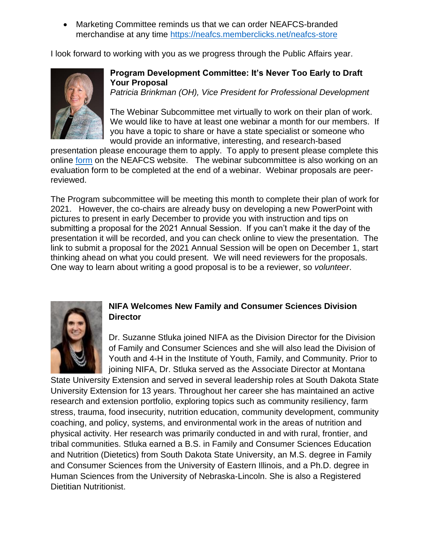• Marketing Committee reminds us that we can order NEAFCS-branded merchandise at any time<https://neafcs.memberclicks.net/neafcs-store>

I look forward to working with you as we progress through the Public Affairs year.



## **Program Development Committee: It's Never Too Early to Draft Your Proposal**

*Patricia Brinkman (OH), Vice President for Professional Development*

The Webinar Subcommittee met virtually to work on their plan of work. We would like to have at least one webinar a month for our members. If you have a topic to share or have a state specialist or someone who would provide an informative, interesting, and research-based

presentation please encourage them to apply. To apply to present please complete this online [form](https://neafcs.memberclicks.net/index.php?option=com_mcform&view=ngforms&id=2056468#/) on the NEAFCS website. The webinar subcommittee is also working on an evaluation form to be completed at the end of a webinar. Webinar proposals are peerreviewed.

The Program subcommittee will be meeting this month to complete their plan of work for 2021. However, the co-chairs are already busy on developing a new PowerPoint with pictures to present in early December to provide you with instruction and tips on submitting a proposal for the 2021 Annual Session. If you can't make it the day of the presentation it will be recorded, and you can check online to view the presentation. The link to submit a proposal for the 2021 Annual Session will be open on December 1, start thinking ahead on what you could present. We will need reviewers for the proposals. One way to learn about writing a good proposal is to be a reviewer, so *volunteer*.



# **NIFA Welcomes New Family and Consumer Sciences Division Director**

Dr. Suzanne Stluka joined NIFA as the Division Director for the Division of Family and Consumer Sciences and she will also lead the Division of Youth and 4-H in the Institute of Youth, Family, and Community. Prior to joining NIFA, Dr. Stluka served as the Associate Director at Montana

State University Extension and served in several leadership roles at South Dakota State University Extension for 13 years. Throughout her career she has maintained an active research and extension portfolio, exploring topics such as community resiliency, farm stress, trauma, food insecurity, nutrition education, community development, community coaching, and policy, systems, and environmental work in the areas of nutrition and physical activity. Her research was primarily conducted in and with rural, frontier, and tribal communities. Stluka earned a B.S. in Family and Consumer Sciences Education and Nutrition (Dietetics) from South Dakota State University, an M.S. degree in Family and Consumer Sciences from the University of Eastern Illinois, and a Ph.D. degree in Human Sciences from the University of Nebraska-Lincoln. She is also a Registered Dietitian Nutritionist.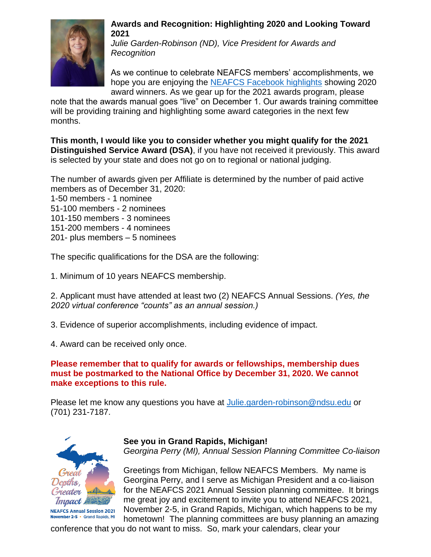

#### **Awards and Recognition: Highlighting 2020 and Looking Toward 2021**

*Julie Garden-Robinson (ND), Vice President for Awards and Recognition*

As we continue to celebrate NEAFCS members' accomplishments, we hope you are enjoying the [NEAFCS Facebook highlights](https://www.facebook.com/groups/NEAFCS) showing 2020 award winners. As we gear up for the 2021 awards program, please

note that the awards manual goes "live" on December 1. Our awards training committee will be providing training and highlighting some award categories in the next few months.

**This month, I would like you to consider whether you might qualify for the 2021 Distinguished Service Award (DSA)**, if you have not received it previously. This award is selected by your state and does not go on to regional or national judging.

The number of awards given per Affiliate is determined by the number of paid active members as of December 31, 2020:

1-50 members - 1 nominee 51-100 members - 2 nominees 101-150 members - 3 nominees 151-200 members - 4 nominees 201- plus members – 5 nominees

The specific qualifications for the DSA are the following:

1. Minimum of 10 years NEAFCS membership.

2. Applicant must have attended at least two (2) NEAFCS Annual Sessions. *(Yes, the 2020 virtual conference "counts" as an annual session.)*

3. Evidence of superior accomplishments, including evidence of impact.

4. Award can be received only once.

# **Please remember that to qualify for awards or fellowships, membership dues must be postmarked to the National Office by December 31, 2020. We cannot make exceptions to this rule.**

Please let me know any questions you have at [Julie.garden-robinson@ndsu.edu](mailto:Julie.garden-robinson@ndsu.edu) or (701) 231-7187.



# **See you in Grand Rapids, Michigan!**

*Georgina Perry (MI), Annual Session Planning Committee Co-liaison*

Greetings from Michigan, fellow NEAFCS Members. My name is Georgina Perry, and I serve as Michigan President and a co-liaison for the NEAFCS 2021 Annual Session planning committee. It brings me great joy and excitement to invite you to attend NEAFCS 2021, November 2-5, in Grand Rapids, Michigan, which happens to be my hometown! The planning committees are busy planning an amazing

conference that you do not want to miss. So, mark your calendars, clear your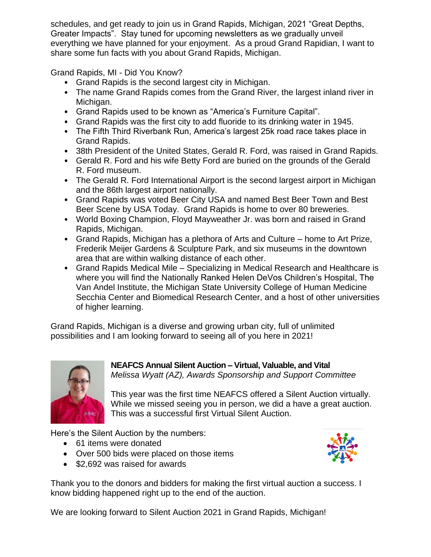schedules, and get ready to join us in Grand Rapids, Michigan, 2021 "Great Depths, Greater Impacts". Stay tuned for upcoming newsletters as we gradually unveil everything we have planned for your enjoyment. As a proud Grand Rapidian, I want to share some fun facts with you about Grand Rapids, Michigan.

Grand Rapids, MI - Did You Know?

- Grand Rapids is the second largest city in Michigan.
- The name Grand Rapids comes from the Grand River, the largest inland river in Michigan.
- Grand Rapids used to be known as "America's Furniture Capital".
- Grand Rapids was the first city to add fluoride to its drinking water in 1945.
- The Fifth Third Riverbank Run, America's largest 25k road race takes place in Grand Rapids.
- 38th President of the United States, Gerald R. Ford, was raised in Grand Rapids.
- Gerald R. Ford and his wife Betty Ford are buried on the grounds of the Gerald R. Ford museum.
- The Gerald R. Ford International Airport is the second largest airport in Michigan and the 86th largest airport nationally.
- Grand Rapids was voted Beer City USA and named Best Beer Town and Best Beer Scene by USA Today. Grand Rapids is home to over 80 breweries.
- World Boxing Champion, Floyd Mayweather Jr. was born and raised in Grand Rapids, Michigan.
- Grand Rapids, Michigan has a plethora of Arts and Culture home to Art Prize, Frederik Meijer Gardens & Sculpture Park, and six museums in the downtown area that are within walking distance of each other.
- Grand Rapids Medical Mile Specializing in Medical Research and Healthcare is where you will find the Nationally Ranked Helen DeVos Children's Hospital, The Van Andel Institute, the Michigan State University College of Human Medicine Secchia Center and Biomedical Research Center, and a host of other universities of higher learning.

Grand Rapids, Michigan is a diverse and growing urban city, full of unlimited possibilities and I am looking forward to seeing all of you here in 2021!



**NEAFCS Annual Silent Auction – Virtual, Valuable, and Vital** *Melissa Wyatt (AZ), Awards Sponsorship and Support Committee*

This year was the first time NEAFCS offered a Silent Auction virtually. While we missed seeing you in person, we did a have a great auction. This was a successful first Virtual Silent Auction.

Here's the Silent Auction by the numbers:

- 61 items were donated
- Over 500 bids were placed on those items
- \$2,692 was raised for awards



Thank you to the donors and bidders for making the first virtual auction a success. I know bidding happened right up to the end of the auction.

We are looking forward to Silent Auction 2021 in Grand Rapids, Michigan!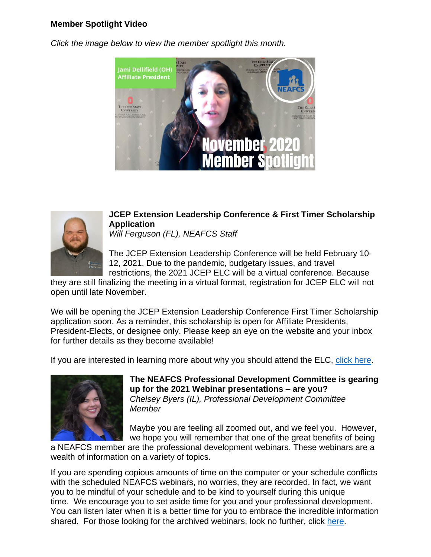## **Member Spotlight Video**

*Click the image below to view the member spotlight this month.*





# **JCEP Extension Leadership Conference & First Timer Scholarship Application**

*Will Ferguson (FL), NEAFCS Staff*

The JCEP Extension Leadership Conference will be held February 10- 12, 2021. Due to the pandemic, budgetary issues, and travel restrictions, the 2021 JCEP ELC will be a virtual conference. Because

they are still finalizing the meeting in a virtual format, registration for JCEP ELC will not open until late November.

We will be opening the JCEP Extension Leadership Conference First Timer Scholarship application soon. As a reminder, this scholarship is open for Affiliate Presidents, President-Elects, or designee only. Please keep an eye on the website and your inbox for further details as they become available!

If you are interested in learning more about why you should attend the ELC, [click here.](https://drive.google.com/file/d/1Dh7gX8pyoTgzCg8cdZKUkgiB2nNGHDSt/view?usp=sharing)



**The NEAFCS Professional Development Committee is gearing up for the 2021 Webinar presentations – are you?** *Chelsey Byers (IL), Professional Development Committee Member*

Maybe you are feeling all zoomed out, and we feel you. However, we hope you will remember that one of the great benefits of being

a NEAFCS member are the professional development webinars. These webinars are a wealth of information on a variety of topics.

If you are spending copious amounts of time on the computer or your schedule conflicts with the scheduled NEAFCS webinars, no worries, they are recorded. In fact, we want you to be mindful of your schedule and to be kind to yourself during this unique time. We encourage you to set aside time for you and your professional development. You can listen later when it is a better time for you to embrace the incredible information shared. For those looking for the archived webinars, look no further, click [here.](https://www.neafcs.org/webinar-archives)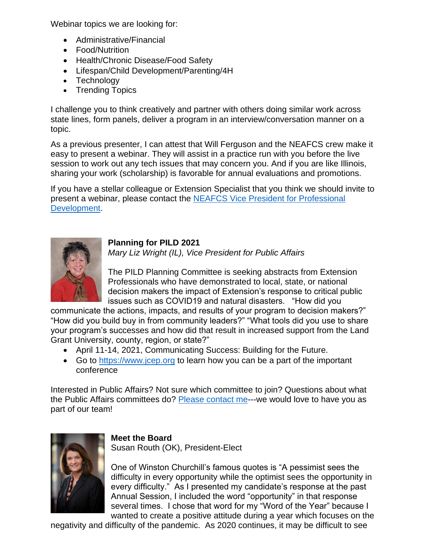Webinar topics we are looking for:

- Administrative/Financial
- Food/Nutrition
- Health/Chronic Disease/Food Safety
- Lifespan/Child Development/Parenting/4H
- Technology
- Trending Topics

I challenge you to think creatively and partner with others doing similar work across state lines, form panels, deliver a program in an interview/conversation manner on a topic.

As a previous presenter, I can attest that Will Ferguson and the NEAFCS crew make it easy to present a webinar. They will assist in a practice run with you before the live session to work out any tech issues that may concern you. And if you are like Illinois, sharing your work (scholarship) is favorable for annual evaluations and promotions.

If you have a stellar colleague or Extension Specialist that you think we should invite to present a webinar, please contact the [NEAFCS Vice President for Professional](mailto:brinkman.93@osu.edu)  [Development.](mailto:brinkman.93@osu.edu)

**Planning for PILD 2021**

*Mary Liz Wright (IL), Vice President for Public Affairs*

The PILD Planning Committee is seeking abstracts from Extension Professionals who have demonstrated to local, state, or national decision makers the impact of Extension's response to critical public issues such as COVID19 and natural disasters. "How did you

communicate the actions, impacts, and results of your program to decision makers?" "How did you build buy in from community leaders?" "What tools did you use to share your program's successes and how did that result in increased support from the Land Grant University, county, region, or state?"

- April 11-14, 2021, Communicating Success: Building for the Future.
- Go to [https://www.jcep.org](https://www.jcep.org/) to learn how you can be a part of the important conference

Interested in Public Affairs? Not sure which committee to join? Questions about what the Public Affairs committees do? [Please contact me-](mailto:maryliz@illinois.edu?subject=NEAFCS%20Public%20Affairs%20Sub-committee%20Question)--we would love to have you as part of our team!



## **Meet the Board**

Susan Routh (OK), President-Elect

One of Winston Churchill's famous quotes is "A pessimist sees the difficulty in every opportunity while the optimist sees the opportunity in every difficulty." As I presented my candidate's response at the past Annual Session, I included the word "opportunity" in that response several times. I chose that word for my "Word of the Year" because I wanted to create a positive attitude during a year which focuses on the

negativity and difficulty of the pandemic. As 2020 continues, it may be difficult to see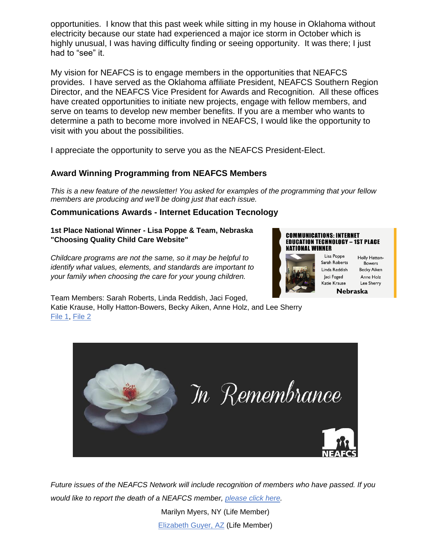opportunities. I know that this past week while sitting in my house in Oklahoma without electricity because our state had experienced a major ice storm in October which is highly unusual, I was having difficulty finding or seeing opportunity. It was there; I just had to "see" it.

My vision for NEAFCS is to engage members in the opportunities that NEAFCS provides. I have served as the Oklahoma affiliate President, NEAFCS Southern Region Director, and the NEAFCS Vice President for Awards and Recognition. All these offices have created opportunities to initiate new projects, engage with fellow members, and serve on teams to develop new member benefits. If you are a member who wants to determine a path to become more involved in NEAFCS, I would like the opportunity to visit with you about the possibilities.

I appreciate the opportunity to serve you as the NEAFCS President-Elect.

# **Award Winning Programming from NEAFCS Members**

This is a new feature of the newsletter! You asked for examples of the programming that your fellow *members are producing and we'll be doing just that each issue.*

## **Communications Awards - Internet Education Tecnology**

**1st Place National Winner - Lisa Poppe & Team, Nebraska "Choosing Quality Child Care Website"**

*Childcare programs are not the same, so it may be helpful to identify what values, elements, and standards are important to your family when choosing the care for your young children.*



Jaci Foged



Holly Hatton-Sarah Roberts Bowers Linda Reddish **Becky Aiken** Anne Holz Katie Krause Lee Sherry Nebraska

Team Members: Sarah Roberts, Linda Reddish, Jaci Foged,

Katie Krause, Holly Hatton-Bowers, Becky Aiken, Anne Holz, and Lee Sherry [File](https://neafcsold.memberclicks.net/mcdatafiles/receiptattach/neafcsold/14172417/9570410/Lisa_Poppe_Nebraska_Award_Application_Internet_Education_Technology.pdf) 1, [File](https://neafcsold.memberclicks.net/mcdatafiles/receiptattach/neafcsold/14172417/9570411/Lisa_Poppe_Nebraska_Supplemental_Materials.pdf) 2



*Future issues of the NEAFCS Network will include recognition of members who have passed. If you would like to report the death of a NEAFCS member, [please](https://neafcs.memberclicks.net/index.php?option=com_mc&view=mc&mcid=form_266803) click here.*

> Marilyn Myers, NY (Life Member) [Elizabeth](https://www.dignitymemorial.com/obituaries/tucson-az/elizabeth-guyer-6844302) Guyer, AZ (Life Member)